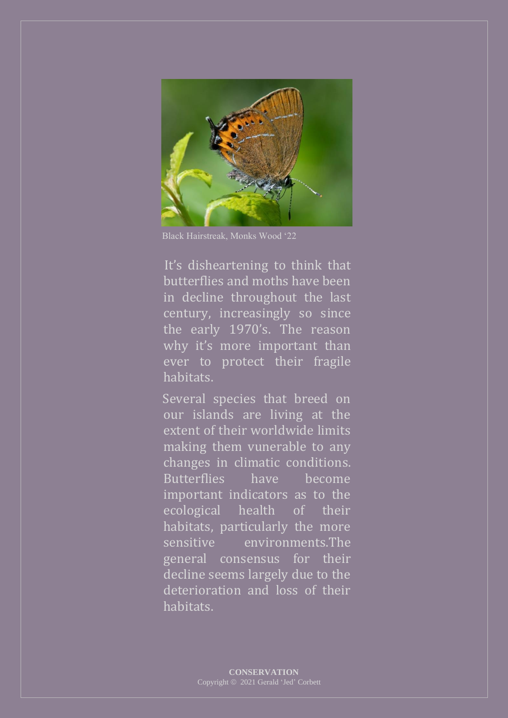

Black Hairstreak, Monks Wood '22

 It's disheartening to think that butterflies and moths have been in decline throughout the last century, increasingly so since the early 1970's. The reason why it's more important than ever to protect their fragile habitats.

 Several species that breed on our islands are living at the extent of their worldwide limits making them vunerable to any changes in climatic conditions. Butterflies have become important indicators as to the ecological health of their habitats, particularly the more sensitive environments.The general consensus for their decline seems largely due to the deterioration and loss of their habitats.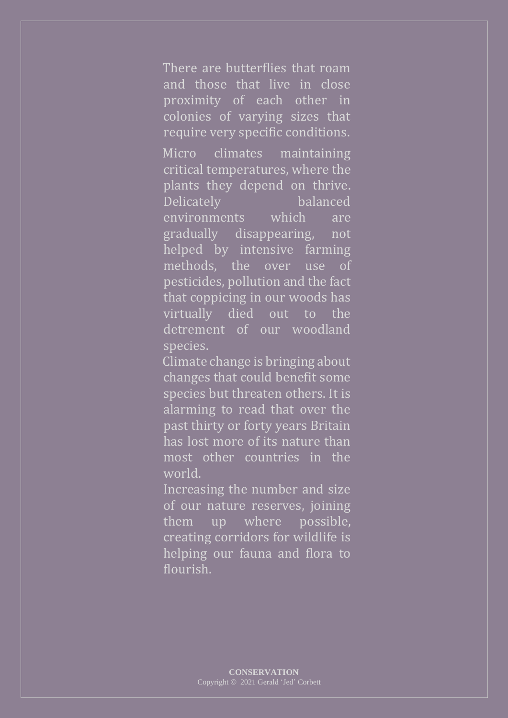There are butterflies that roam and those that live in close proximity of each other in colonies of varying sizes that require very specific conditions.

Micro climates maintaining critical temperatures, where the plants they depend on thrive. Delicately balanced environments which are gradually disappearing, not helped by intensive farming methods, the over use of pesticides, pollution and the fact that coppicing in our woods has virtually died out to the detrement of our woodland species.

 Climate change is bringing about changes that could benefit some species but threaten others. It is alarming to read that over the past thirty or forty years Britain has lost more of its nature than most other countries in the world.

Increasing the number and size of our nature reserves, joining them up where possible, creating corridors for wildlife is helping our fauna and flora to flourish.